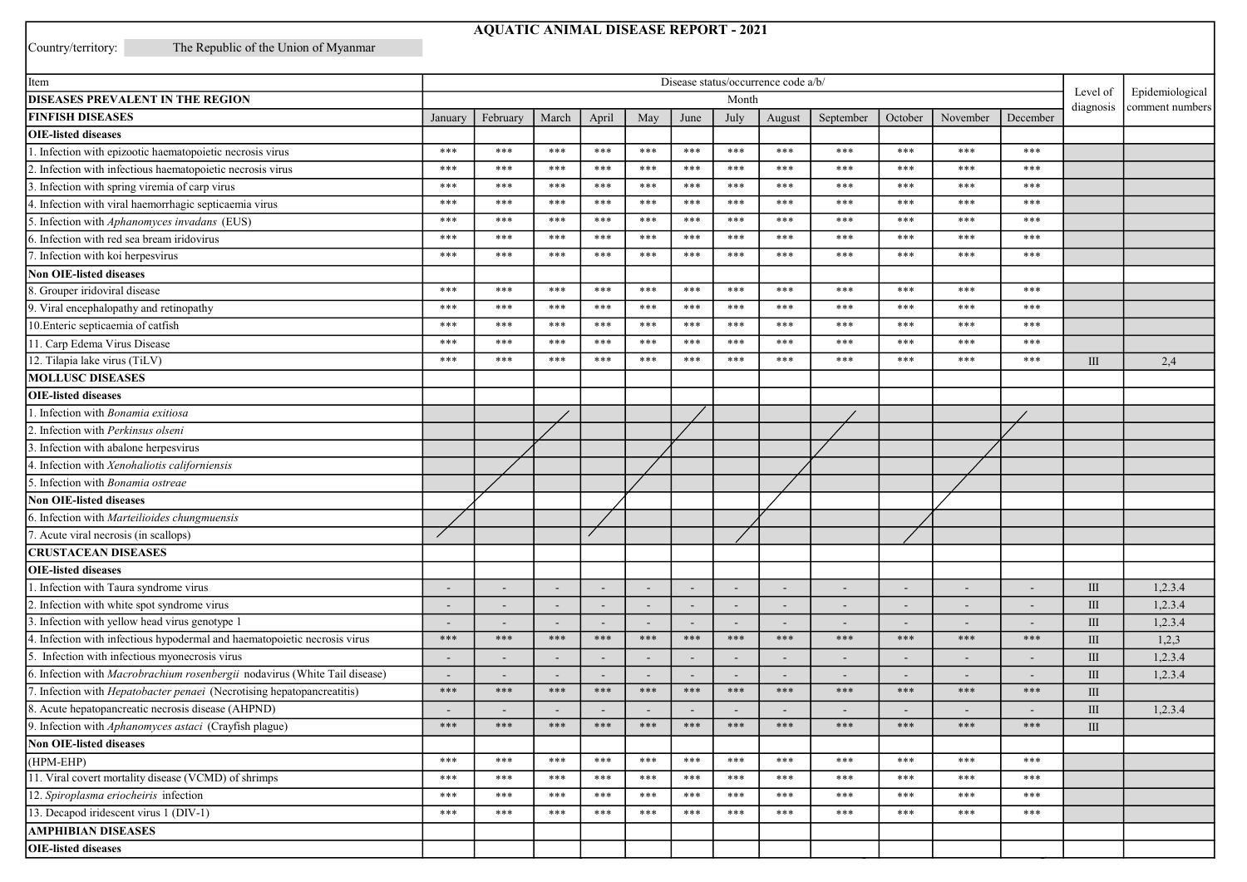## **AQUATIC ANIMAL DISEASE REPORT - 2021**

Country/territory:

The Republic of the Union of Myanmar

| Item                                                                          | Disease status/occurrence code a/b/ |                          |                          |                          |                          |       |                 | Level of<br>diagnosis    |                          |                          |                          |                          |           |                 |
|-------------------------------------------------------------------------------|-------------------------------------|--------------------------|--------------------------|--------------------------|--------------------------|-------|-----------------|--------------------------|--------------------------|--------------------------|--------------------------|--------------------------|-----------|-----------------|
| DISEASES PREVALENT IN THE REGION                                              | Month                               |                          |                          |                          |                          |       | Epidemiological |                          |                          |                          |                          |                          |           |                 |
| <b>FINFISH DISEASES</b>                                                       | January                             | February                 | March                    | April                    | May                      | June  | July            | August                   | September                | October                  | November                 | December                 |           | comment numbers |
| <b>OIE-listed diseases</b>                                                    |                                     |                          |                          |                          |                          |       |                 |                          |                          |                          |                          |                          |           |                 |
| 1. Infection with epizootic haematopoietic necrosis virus                     | $***$                               | $***$                    | ***                      | $***$                    | ***                      | ***   | ***             | $***$                    | $***$                    | $***$                    | ***                      | $***$                    |           |                 |
| . Infection with infectious haematopoietic necrosis virus                     | $***$                               | $***$                    | ***                      | ***                      | ***                      | ***   | ***             | $***$                    | $***$                    | ***                      | ***                      | $***$                    |           |                 |
| . Infection with spring viremia of carp virus                                 | ***                                 | $***$                    | ***                      | ***                      | ***                      | $***$ | ***             | $***$                    | $***$                    | $***$                    | ***                      | $***$                    |           |                 |
| 4. Infection with viral haemorrhagic septicaemia virus                        | ***                                 | ***                      | ***                      | ***                      | ***                      | ***   | ***             | $***$                    | ***                      | ***                      | ***                      | $***$                    |           |                 |
| 5. Infection with Aphanomyces invadans (EUS)                                  | ***                                 | ***                      | ***                      | ***                      | ***                      | $***$ | ***             | $***$                    | ***                      | $***$                    | ***                      | $***$                    |           |                 |
| 6. Infection with red sea bream iridovirus                                    | ***                                 | ***                      | ***                      | ***                      | ***                      | $***$ | ***             | $***$                    | ***                      | ***                      | ***                      | ***                      |           |                 |
| 7. Infection with koi herpesvirus                                             | ***                                 | $***$                    | ***                      | ***                      | ***                      | ***   | ***             | $***$                    | ***                      | ***                      | ***                      | $***$                    |           |                 |
| <b>Non OIE-listed diseases</b>                                                |                                     |                          |                          |                          |                          |       |                 |                          |                          |                          |                          |                          |           |                 |
| 8. Grouper iridoviral disease                                                 | ***                                 | ***                      | ***                      | ***                      | ***                      | ***   | ***             | ***                      | ***                      | ***                      | ***                      | ***                      |           |                 |
| 9. Viral encephalopathy and retinopathy                                       | ***                                 | $***$                    | ***                      | $***$                    | ***                      | $***$ | $***$           | ***                      | $***$                    | $***$                    | ***                      | ***                      |           |                 |
| 10. Enteric septicaemia of catfish                                            | ***                                 | $***$                    | $***$                    | ***                      | ***                      | $***$ | $***$           | $***$                    | $***$                    | $***$                    | ***                      | $***$                    |           |                 |
| 11. Carp Edema Virus Disease                                                  | $***$                               | $***$                    | ***                      | ***                      | ***                      | $***$ | ***             | $***$                    | $***$                    | ***                      | ***                      | $***$                    |           |                 |
| 12. Tilapia lake virus (TiLV)                                                 | ***                                 | ***                      | ***                      | ***                      | ***                      | ***   | ***             | ***                      | ***                      | $***$                    | ***                      | $***$                    | III       | 2,4             |
| <b>MOLLUSC DISEASES</b>                                                       |                                     |                          |                          |                          |                          |       |                 |                          |                          |                          |                          |                          |           |                 |
| <b>OIE-listed diseases</b>                                                    |                                     |                          |                          |                          |                          |       |                 |                          |                          |                          |                          |                          |           |                 |
| 1. Infection with Bonamia exitiosa                                            |                                     |                          |                          |                          |                          |       |                 |                          |                          |                          |                          |                          |           |                 |
| 2. Infection with Perkinsus olseni                                            |                                     |                          |                          |                          |                          |       |                 |                          |                          |                          |                          |                          |           |                 |
| 3. Infection with abalone herpesvirus                                         |                                     |                          |                          |                          |                          |       |                 |                          |                          |                          |                          |                          |           |                 |
| 4. Infection with Xenohaliotis californiensis                                 |                                     |                          |                          |                          |                          |       |                 |                          |                          |                          |                          |                          |           |                 |
| 5. Infection with Bonamia ostreae                                             |                                     |                          |                          |                          |                          |       |                 |                          |                          |                          |                          |                          |           |                 |
| <b>Non OIE-listed diseases</b>                                                |                                     |                          |                          |                          |                          |       |                 |                          |                          |                          |                          |                          |           |                 |
| 6. Infection with Marteilioides chungmuensis                                  |                                     |                          |                          |                          |                          |       |                 |                          |                          |                          |                          |                          |           |                 |
| 7. Acute viral necrosis (in scallops)                                         |                                     |                          |                          |                          |                          |       |                 |                          |                          |                          |                          |                          |           |                 |
| <b>CRUSTACEAN DISEASES</b>                                                    |                                     |                          |                          |                          |                          |       |                 |                          |                          |                          |                          |                          |           |                 |
| <b>OIE-listed diseases</b>                                                    |                                     |                          |                          |                          |                          |       |                 |                          |                          |                          |                          |                          |           |                 |
| 1. Infection with Taura syndrome virus                                        |                                     |                          |                          |                          |                          |       |                 |                          |                          |                          |                          |                          | III       | 1,2.3.4         |
| 2. Infection with white spot syndrome virus                                   |                                     |                          |                          | $\blacksquare$           |                          |       |                 |                          |                          |                          |                          |                          | III       | 1,2.3.4         |
| . Infection with yellow head virus genotype 1                                 |                                     |                          |                          | $\blacksquare$           |                          |       |                 |                          |                          |                          |                          |                          | III       | 1,2.3.4         |
| 4. Infection with infectious hypodermal and haematopoietic necrosis virus     | $***$                               | $***$                    | ***                      | $***$                    | ***                      | $***$ | ***             | $***$                    | $***$                    | $***$                    | ***                      | $***$                    | III       | 1,2,3           |
| 5. Infection with infectious myonecrosis virus                                |                                     |                          |                          | $\overline{\phantom{a}}$ | $\overline{\phantom{a}}$ |       |                 | $\overline{\phantom{0}}$ | ٠                        | $\overline{\phantom{a}}$ | $\overline{\phantom{a}}$ | $\overline{\phantom{a}}$ | $\rm III$ | 1,2.3.4         |
| 6. Infection with Macrobrachium rosenbergii nodavirus (White Tail disease)    | ٠                                   | $\overline{\phantom{a}}$ | $\overline{\phantom{a}}$ | $\overline{\phantom{a}}$ | $\sim$                   |       |                 | $\overline{\phantom{a}}$ | $\overline{\phantom{a}}$ | $\overline{\phantom{a}}$ | $\overline{\phantom{a}}$ | $\overline{\phantom{a}}$ | III       | 1,2.3.4         |
| 7. Infection with <i>Hepatobacter penaei</i> (Necrotising hepatopancreatitis) | $***$                               | $***$                    | ***                      | ***                      | ***                      | ***   | ***             | $***$                    | $***$                    | ***                      | ***                      | ***                      | $\rm III$ |                 |
| 8. Acute hepatopancreatic necrosis disease (AHPND)                            | $\overline{\phantom{a}}$            | $\overline{\phantom{a}}$ | $\overline{\phantom{a}}$ | $\sim$                   | $\sim$                   |       |                 | $\overline{\phantom{a}}$ | $\overline{\phantom{a}}$ | $\overline{\phantom{a}}$ | $\overline{\phantom{a}}$ | $\sim$                   | III       | 1,2.3.4         |
| 9. Infection with Aphanomyces astaci (Crayfish plague)                        | $***$                               | $***$                    | ***                      | $***$                    | ***                      | $***$ | ***             | $***$                    | $***$                    | ***                      | ***                      | $***$                    | III       |                 |
| <b>Non OIE-listed diseases</b>                                                |                                     |                          |                          |                          |                          |       |                 |                          |                          |                          |                          |                          |           |                 |
| (HPM-EHP)                                                                     | ***                                 | $***$                    | ***                      | ***                      | $***$                    | ***   | $***$           | $***$                    | ***                      | ***                      | ***                      | ***                      |           |                 |
| 11. Viral covert mortality disease (VCMD) of shrimps                          | ***                                 | ***                      | $***$                    | ***                      | ***                      | ***   | $***$           | ***                      | $***$                    | ***                      | ***                      | ***                      |           |                 |
| 12. Spiroplasma eriocheiris infection                                         | ***                                 | ***                      | ***                      | ***                      | ***                      | ***   | ***             | ***                      | ***                      | $***$                    | ***                      | $***$                    |           |                 |
| 13. Decapod iridescent virus 1 (DIV-1)                                        | ***                                 | ***                      | ***                      | ***                      | ***                      | ***   | ***             | ***                      | $***$                    | $***$                    | ***                      | ***                      |           |                 |
| <b>AMPHIBIAN DISEASES</b>                                                     |                                     |                          |                          |                          |                          |       |                 |                          |                          |                          |                          |                          |           |                 |
| <b>OIE-listed diseases</b>                                                    |                                     |                          |                          |                          |                          |       |                 |                          |                          |                          |                          |                          |           |                 |
|                                                                               |                                     |                          |                          |                          |                          |       |                 |                          |                          |                          |                          |                          |           |                 |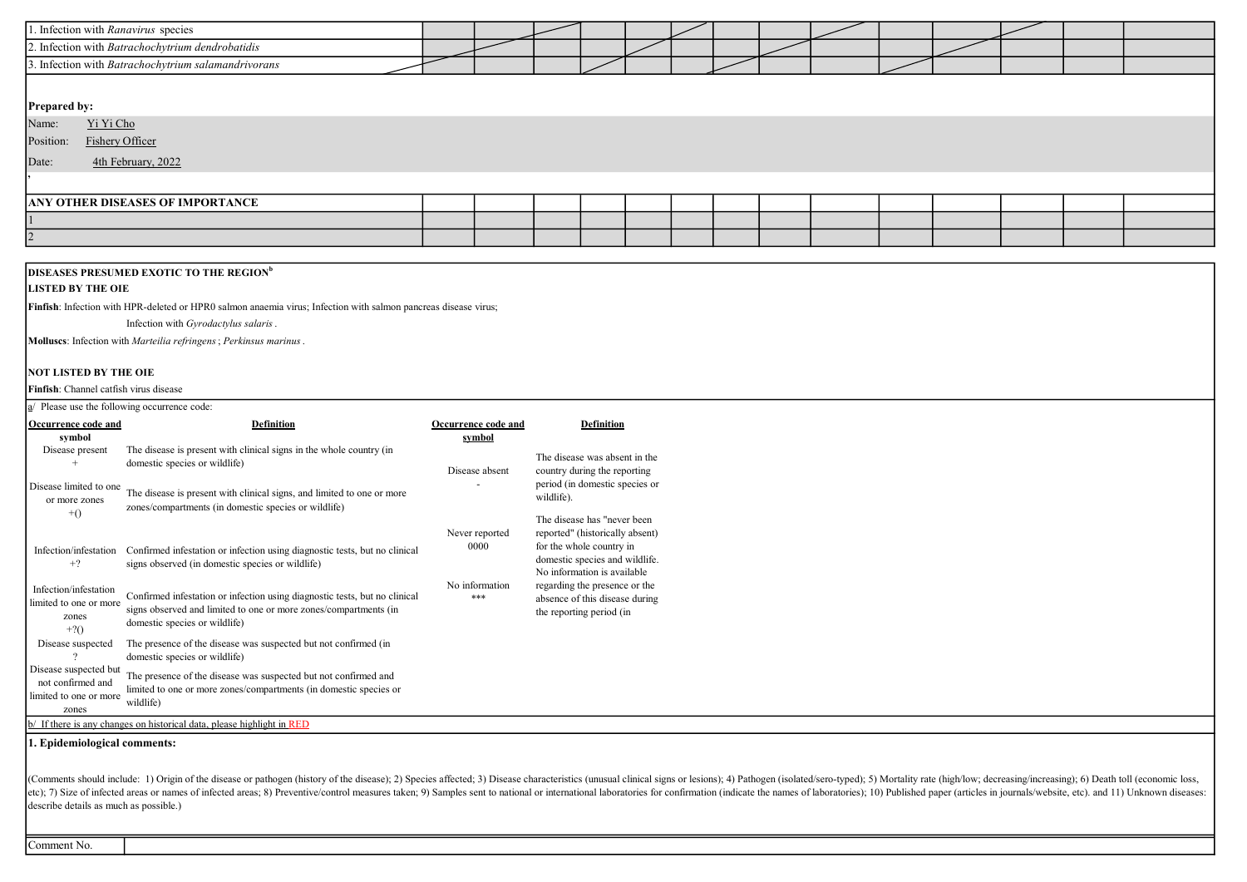| 1. Infection with Ranavirus species                 |  |  |  |  |  |  |  |  |  |  |  |
|-----------------------------------------------------|--|--|--|--|--|--|--|--|--|--|--|
| 2. Infection with Batrachochytrium dendrobatidis    |  |  |  |  |  |  |  |  |  |  |  |
| 3. Infection with Batrachochytrium salamandrivorans |  |  |  |  |  |  |  |  |  |  |  |
|                                                     |  |  |  |  |  |  |  |  |  |  |  |
| Prepared by:                                        |  |  |  |  |  |  |  |  |  |  |  |
| Yi Yi Cho<br>Name:                                  |  |  |  |  |  |  |  |  |  |  |  |
| Position:<br><b>Fishery Officer</b>                 |  |  |  |  |  |  |  |  |  |  |  |
| Date:<br>4th February, 2022                         |  |  |  |  |  |  |  |  |  |  |  |
|                                                     |  |  |  |  |  |  |  |  |  |  |  |
| <b>ANY OTHER DISEASES OF IMPORTANCE</b>             |  |  |  |  |  |  |  |  |  |  |  |
|                                                     |  |  |  |  |  |  |  |  |  |  |  |
| 12                                                  |  |  |  |  |  |  |  |  |  |  |  |

## DISEASES PRESUMED EXOTIC TO THE REGION<sup>b</sup>

## **LISTED BY THE OIE**

Finfish: Infection with HPR-deleted or HPR0 salmon anaemia virus; Infection with salmon pancreas disease virus;

Infection with Gyrodactylus salaris.

Molluscs: Infection with Marteilia refringens; Perkinsus marinus.

## NOT LISTED BY THE OIE

Finfish: Channel catfish virus disease

|                                                                               | a/ Please use the following occurrence code:                                                                                                                                    |                        |                                                                                                                              |  |  |  |  |
|-------------------------------------------------------------------------------|---------------------------------------------------------------------------------------------------------------------------------------------------------------------------------|------------------------|------------------------------------------------------------------------------------------------------------------------------|--|--|--|--|
| Occurrence code and                                                           | <b>Definition</b>                                                                                                                                                               | Occurrence code and    | <b>Definition</b>                                                                                                            |  |  |  |  |
| symbol<br>Disease present                                                     | The disease is present with clinical signs in the whole country (in<br>domestic species or wildlife)                                                                            | symbol                 | The disease was absent in the                                                                                                |  |  |  |  |
| Disease limited to one<br>or more zones<br>$+()$                              | The disease is present with clinical signs, and limited to one or more<br>zones/compartments (in domestic species or wildlife)                                                  | Disease absent         | country during the reporting<br>period (in domestic species or<br>wildlife).<br>The disease has "never been                  |  |  |  |  |
| Infection/infestation<br>$+2$                                                 | Confirmed infestation or infection using diagnostic tests, but no clinical<br>signs observed (in domestic species or wildlife)                                                  | Never reported<br>0000 | reported" (historically absent)<br>for the whole country in<br>domestic species and wildlife.<br>No information is available |  |  |  |  |
| Infection/infestation<br>limited to one or more<br>zones<br>$+2()$            | Confirmed infestation or infection using diagnostic tests, but no clinical<br>signs observed and limited to one or more zones/compartments (in<br>domestic species or wildlife) | No information<br>***  | regarding the presence or the<br>absence of this disease during<br>the reporting period (in                                  |  |  |  |  |
| Disease suspected                                                             | The presence of the disease was suspected but not confirmed (in<br>domestic species or wildlife)                                                                                |                        |                                                                                                                              |  |  |  |  |
| Disease suspected but<br>not confirmed and<br>limited to one or more<br>zones | The presence of the disease was suspected but not confirmed and<br>limited to one or more zones/compartments (in domestic species or<br>wildlife)                               |                        |                                                                                                                              |  |  |  |  |
|                                                                               | b/ If there is any changes on historical data, please highlight in RED                                                                                                          |                        |                                                                                                                              |  |  |  |  |
| 1. Epidemiological comments:                                                  |                                                                                                                                                                                 |                        |                                                                                                                              |  |  |  |  |

(Comments should include: 1) Origin of the disease or pathogen (history of the disease); 2) Species affected; 3) Disease characteristics (unusual clinical signs or lesions); 4) Pathogen (isolated/sero-typed); 5) Mortality etc); 7) Size of infected areas or names of infected areas; 8) Preventive/control measures taken; 9) Samples sent to national or international laboratories for confirmation (indicate the names of laboratories); 10) Publish describe details as much as possible.)

Comment No.